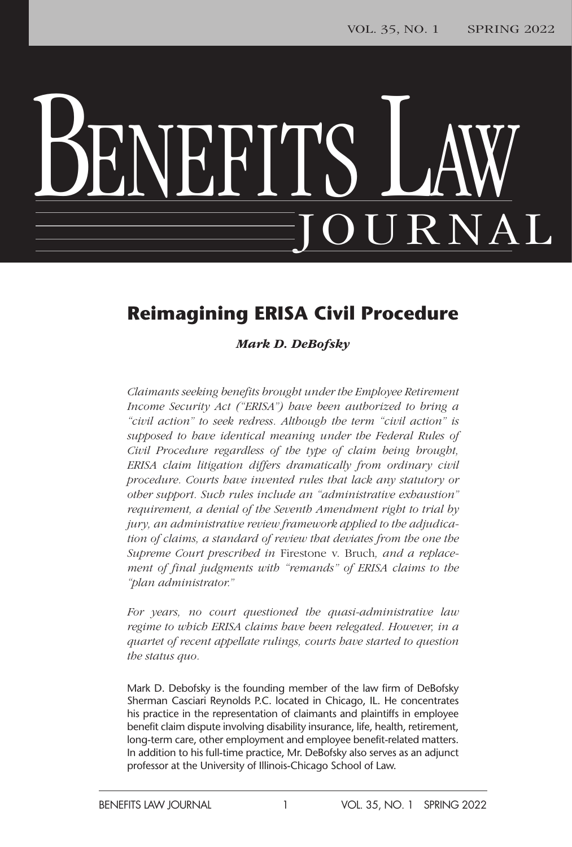# BENEFITS LAW JOURNAL

### **Reimagining ERISA Civil Procedure**

#### *Mark D. DeBofsky*

*Claimants seeking benefits brought under the Employee Retirement Income Security Act ("ERISA") have been authorized to bring a "civil action" to seek redress. Although the term "civil action" is supposed to have identical meaning under the Federal Rules of Civil Procedure regardless of the type of claim being brought, ERISA claim litigation differs dramatically from ordinary civil procedure. Courts have invented rules that lack any statutory or other support. Such rules include an "administrative exhaustion" requirement, a denial of the Seventh Amendment right to trial by jury, an administrative review framework applied to the adjudication of claims, a standard of review that deviates from the one the Supreme Court prescribed in* Firestone v. Bruch*, and a replacement of final judgments with "remands" of ERISA claims to the "plan administrator."*

*For years, no court questioned the quasi-administrative law regime to which ERISA claims have been relegated. However, in a quartet of recent appellate rulings, courts have started to question the status quo.*

Mark D. Debofsky is the founding member of the law firm of DeBofsky Sherman Casciari Reynolds P.C. located in Chicago, IL. He concentrates his practice in the representation of claimants and plaintiffs in employee benefit claim dispute involving disability insurance, life, health, retirement, long-term care, other employment and employee benefit-related matters. In addition to his full-time practice, Mr. DeBofsky also serves as an adjunct professor at the University of Illinois-Chicago School of Law.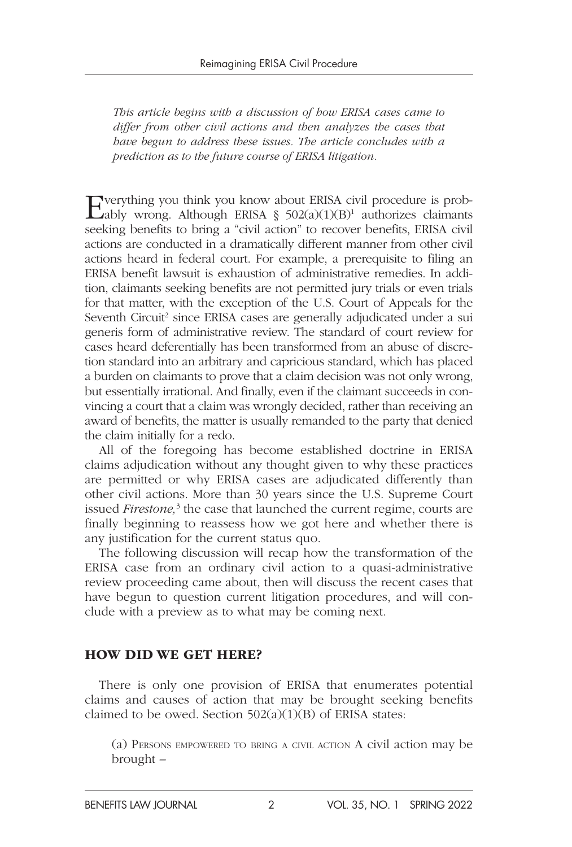*This article begins with a discussion of how ERISA cases came to differ from other civil actions and then analyzes the cases that have begun to address these issues. The article concludes with a prediction as to the future course of ERISA litigation.*

Everything you think you know about ERISA civil procedure is probably wrong. Although ERISA  $\S$  502(a)(1)(B)<sup>1</sup> authorizes claimants seeking benefits to bring a "civil action" to recover benefits, ERISA civil actions are conducted in a dramatically different manner from other civil actions heard in federal court. For example, a prerequisite to filing an ERISA benefit lawsuit is exhaustion of administrative remedies. In addition, claimants seeking benefits are not permitted jury trials or even trials for that matter, with the exception of the U.S. Court of Appeals for the Seventh Circuit<sup>2</sup> since ERISA cases are generally adjudicated under a sui generis form of administrative review. The standard of court review for cases heard deferentially has been transformed from an abuse of discretion standard into an arbitrary and capricious standard, which has placed a burden on claimants to prove that a claim decision was not only wrong, but essentially irrational. And finally, even if the claimant succeeds in convincing a court that a claim was wrongly decided, rather than receiving an award of benefits, the matter is usually remanded to the party that denied the claim initially for a redo.

All of the foregoing has become established doctrine in ERISA claims adjudication without any thought given to why these practices are permitted or why ERISA cases are adjudicated differently than other civil actions. More than 30 years since the U.S. Supreme Court issued *Firestone*,<sup>3</sup> the case that launched the current regime, courts are finally beginning to reassess how we got here and whether there is any justification for the current status quo.

The following discussion will recap how the transformation of the ERISA case from an ordinary civil action to a quasi-administrative review proceeding came about, then will discuss the recent cases that have begun to question current litigation procedures, and will conclude with a preview as to what may be coming next.

#### HOW DID WE GET HERE?

There is only one provision of ERISA that enumerates potential claims and causes of action that may be brought seeking benefits claimed to be owed. Section  $502(a)(1)(B)$  of ERISA states:

(a) Persons empowered to bring a civil action A civil action may be brought –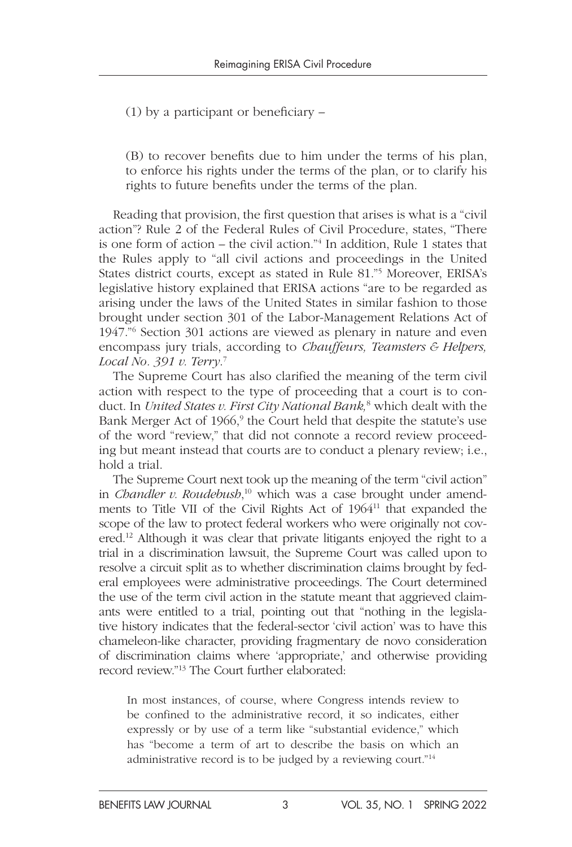(1) by a participant or beneficiary –

(B) to recover benefits due to him under the terms of his plan, to enforce his rights under the terms of the plan, or to clarify his rights to future benefits under the terms of the plan.

Reading that provision, the first question that arises is what is a "civil action"? Rule 2 of the Federal Rules of Civil Procedure, states, "There is one form of action – the civil action."4 In addition, Rule 1 states that the Rules apply to "all civil actions and proceedings in the United States district courts, except as stated in Rule 81."5 Moreover, ERISA's legislative history explained that ERISA actions "are to be regarded as arising under the laws of the United States in similar fashion to those brought under section 301 of the Labor-Management Relations Act of 1947."6 Section 301 actions are viewed as plenary in nature and even encompass jury trials, according to *Chauffeurs, Teamsters & Helpers, Local No. 391 v. Terry*. 7

The Supreme Court has also clarified the meaning of the term civil action with respect to the type of proceeding that a court is to conduct. In *United States v. First City National Bank,*<sup>8</sup> which dealt with the Bank Merger Act of 1966,<sup>9</sup> the Court held that despite the statute's use of the word "review," that did not connote a record review proceeding but meant instead that courts are to conduct a plenary review; i.e., hold a trial.

The Supreme Court next took up the meaning of the term "civil action" in *Chandler v. Roudebush*, 10 which was a case brought under amendments to Title VII of the Civil Rights Act of 196411 that expanded the scope of the law to protect federal workers who were originally not covered.12 Although it was clear that private litigants enjoyed the right to a trial in a discrimination lawsuit, the Supreme Court was called upon to resolve a circuit split as to whether discrimination claims brought by federal employees were administrative proceedings. The Court determined the use of the term civil action in the statute meant that aggrieved claimants were entitled to a trial, pointing out that "nothing in the legislative history indicates that the federal-sector 'civil action' was to have this chameleon-like character, providing fragmentary de novo consideration of discrimination claims where 'appropriate,' and otherwise providing record review."13 The Court further elaborated:

In most instances, of course, where Congress intends review to be confined to the administrative record, it so indicates, either expressly or by use of a term like "substantial evidence," which has "become a term of art to describe the basis on which an administrative record is to be judged by a reviewing court."14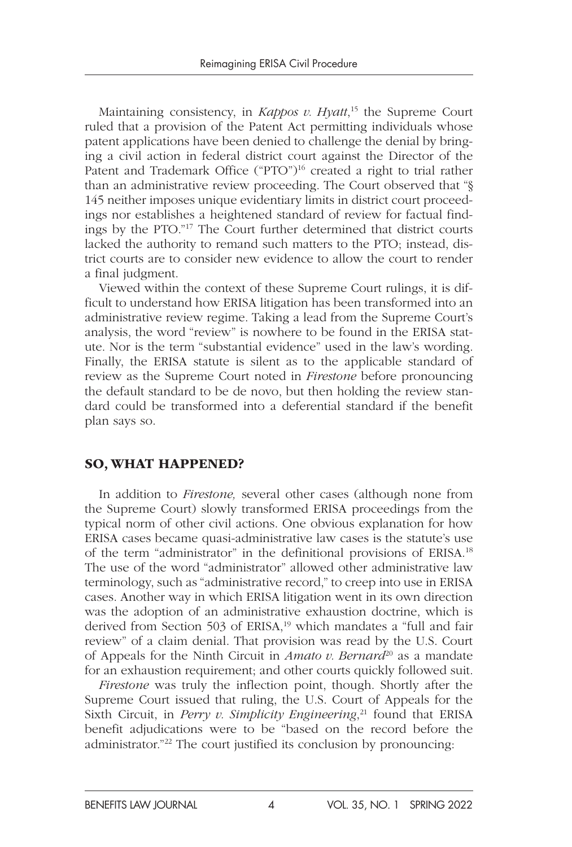Maintaining consistency, in *Kappos v. Hyatt*, 15 the Supreme Court ruled that a provision of the Patent Act permitting individuals whose patent applications have been denied to challenge the denial by bringing a civil action in federal district court against the Director of the Patent and Trademark Office ("PTO")<sup>16</sup> created a right to trial rather than an administrative review proceeding. The Court observed that "§ 145 neither imposes unique evidentiary limits in district court proceedings nor establishes a heightened standard of review for factual findings by the PTO."17 The Court further determined that district courts lacked the authority to remand such matters to the PTO; instead, district courts are to consider new evidence to allow the court to render a final judgment.

Viewed within the context of these Supreme Court rulings, it is difficult to understand how ERISA litigation has been transformed into an administrative review regime. Taking a lead from the Supreme Court's analysis, the word "review" is nowhere to be found in the ERISA statute. Nor is the term "substantial evidence" used in the law's wording. Finally, the ERISA statute is silent as to the applicable standard of review as the Supreme Court noted in *Firestone* before pronouncing the default standard to be de novo, but then holding the review standard could be transformed into a deferential standard if the benefit plan says so.

#### SO, WHAT HAPPENED?

In addition to *Firestone,* several other cases (although none from the Supreme Court) slowly transformed ERISA proceedings from the typical norm of other civil actions. One obvious explanation for how ERISA cases became quasi-administrative law cases is the statute's use of the term "administrator" in the definitional provisions of ERISA.18 The use of the word "administrator" allowed other administrative law terminology, such as "administrative record," to creep into use in ERISA cases. Another way in which ERISA litigation went in its own direction was the adoption of an administrative exhaustion doctrine, which is derived from Section 503 of ERISA,<sup>19</sup> which mandates a "full and fair review" of a claim denial. That provision was read by the U.S. Court of Appeals for the Ninth Circuit in *Amato v. Bernard*<sup>20</sup> as a mandate for an exhaustion requirement; and other courts quickly followed suit.

*Firestone* was truly the inflection point, though. Shortly after the Supreme Court issued that ruling, the U.S. Court of Appeals for the Sixth Circuit, in *Perry v. Simplicity Engineering*, 21 found that ERISA benefit adjudications were to be "based on the record before the administrator."22 The court justified its conclusion by pronouncing: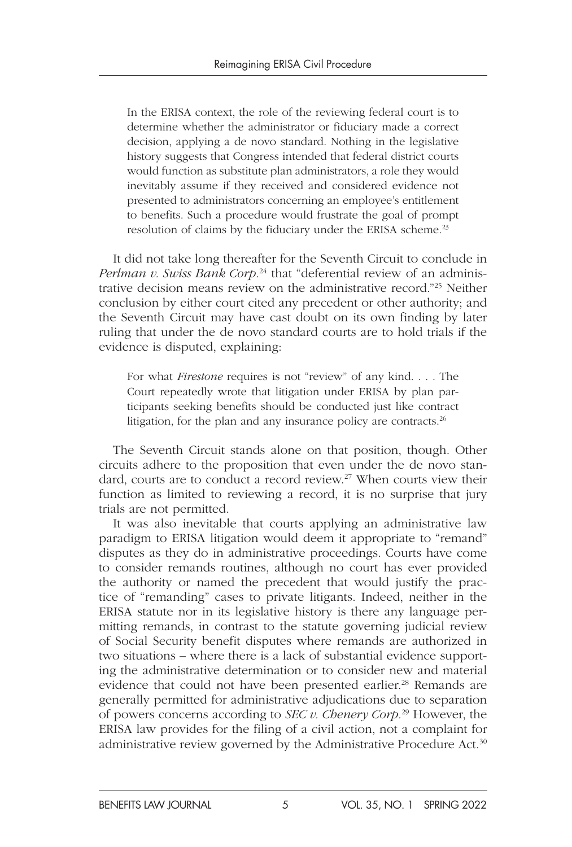In the ERISA context, the role of the reviewing federal court is to determine whether the administrator or fiduciary made a correct decision, applying a de novo standard. Nothing in the legislative history suggests that Congress intended that federal district courts would function as substitute plan administrators, a role they would inevitably assume if they received and considered evidence not presented to administrators concerning an employee's entitlement to benefits. Such a procedure would frustrate the goal of prompt resolution of claims by the fiduciary under the ERISA scheme.<sup>23</sup>

It did not take long thereafter for the Seventh Circuit to conclude in *Perlman v. Swiss Bank Corp.*24 that "deferential review of an administrative decision means review on the administrative record."25 Neither conclusion by either court cited any precedent or other authority; and the Seventh Circuit may have cast doubt on its own finding by later ruling that under the de novo standard courts are to hold trials if the evidence is disputed, explaining:

For what *Firestone* requires is not "review" of any kind. . . . The Court repeatedly wrote that litigation under ERISA by plan participants seeking benefits should be conducted just like contract litigation, for the plan and any insurance policy are contracts. $26$ 

The Seventh Circuit stands alone on that position, though. Other circuits adhere to the proposition that even under the de novo standard, courts are to conduct a record review.<sup>27</sup> When courts view their function as limited to reviewing a record, it is no surprise that jury trials are not permitted.

It was also inevitable that courts applying an administrative law paradigm to ERISA litigation would deem it appropriate to "remand" disputes as they do in administrative proceedings. Courts have come to consider remands routines, although no court has ever provided the authority or named the precedent that would justify the practice of "remanding" cases to private litigants. Indeed, neither in the ERISA statute nor in its legislative history is there any language permitting remands, in contrast to the statute governing judicial review of Social Security benefit disputes where remands are authorized in two situations – where there is a lack of substantial evidence supporting the administrative determination or to consider new and material evidence that could not have been presented earlier.<sup>28</sup> Remands are generally permitted for administrative adjudications due to separation of powers concerns according to *SEC v. Chenery Corp.*29 However, the ERISA law provides for the filing of a civil action, not a complaint for administrative review governed by the Administrative Procedure Act.<sup>30</sup>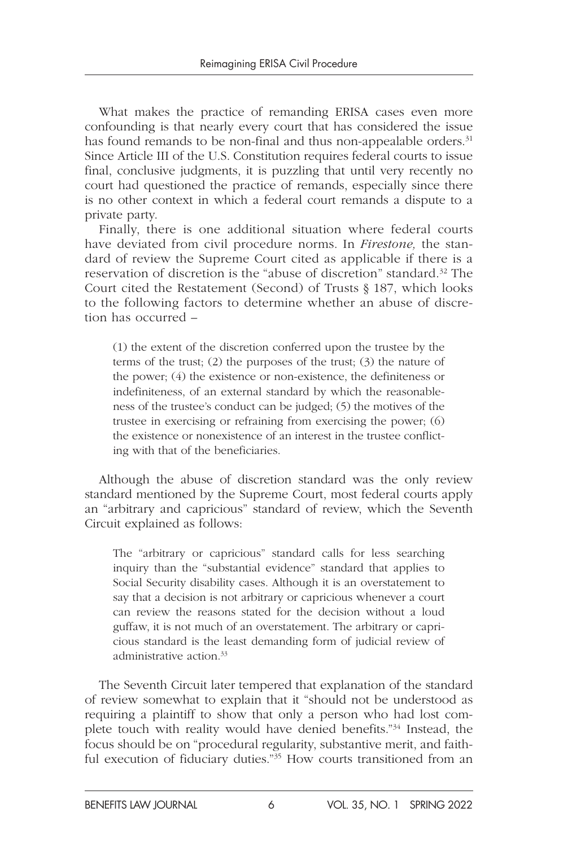What makes the practice of remanding ERISA cases even more confounding is that nearly every court that has considered the issue has found remands to be non-final and thus non-appealable orders.<sup>31</sup> Since Article III of the U.S. Constitution requires federal courts to issue final, conclusive judgments, it is puzzling that until very recently no court had questioned the practice of remands, especially since there is no other context in which a federal court remands a dispute to a private party.

Finally, there is one additional situation where federal courts have deviated from civil procedure norms. In *Firestone,* the standard of review the Supreme Court cited as applicable if there is a reservation of discretion is the "abuse of discretion" standard.32 The Court cited the Restatement (Second) of Trusts § 187, which looks to the following factors to determine whether an abuse of discretion has occurred –

(1) the extent of the discretion conferred upon the trustee by the terms of the trust; (2) the purposes of the trust; (3) the nature of the power; (4) the existence or non-existence, the definiteness or indefiniteness, of an external standard by which the reasonableness of the trustee's conduct can be judged; (5) the motives of the trustee in exercising or refraining from exercising the power; (6) the existence or nonexistence of an interest in the trustee conflicting with that of the beneficiaries.

Although the abuse of discretion standard was the only review standard mentioned by the Supreme Court, most federal courts apply an "arbitrary and capricious" standard of review, which the Seventh Circuit explained as follows:

The "arbitrary or capricious" standard calls for less searching inquiry than the "substantial evidence" standard that applies to Social Security disability cases. Although it is an overstatement to say that a decision is not arbitrary or capricious whenever a court can review the reasons stated for the decision without a loud guffaw, it is not much of an overstatement. The arbitrary or capricious standard is the least demanding form of judicial review of administrative action.33

The Seventh Circuit later tempered that explanation of the standard of review somewhat to explain that it "should not be understood as requiring a plaintiff to show that only a person who had lost complete touch with reality would have denied benefits."<sup>34</sup> Instead, the focus should be on "procedural regularity, substantive merit, and faithful execution of fiduciary duties."<sup>35</sup> How courts transitioned from an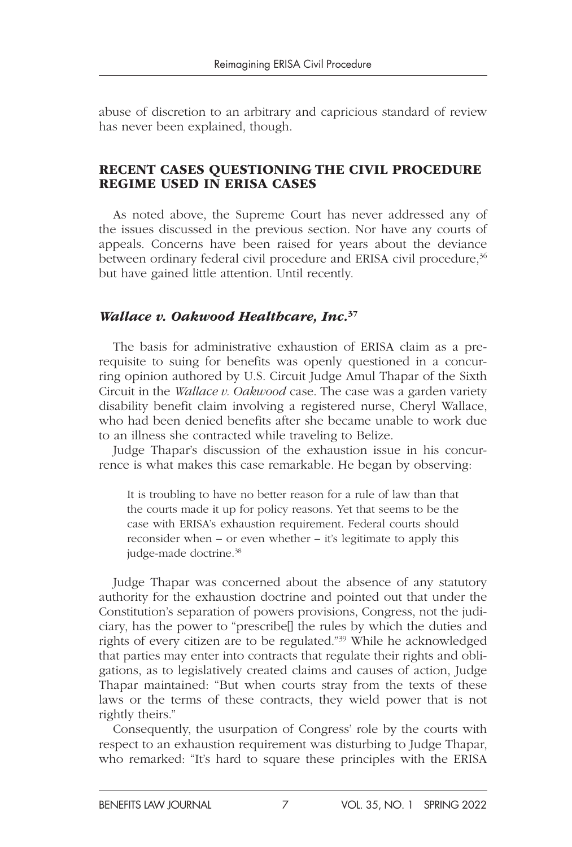abuse of discretion to an arbitrary and capricious standard of review has never been explained, though.

#### RECENT CASES QUESTIONING THE CIVIL PROCEDURE REGIME USED IN ERISA CASES

As noted above, the Supreme Court has never addressed any of the issues discussed in the previous section. Nor have any courts of appeals. Concerns have been raised for years about the deviance between ordinary federal civil procedure and ERISA civil procedure,<sup>36</sup> but have gained little attention. Until recently.

#### *Wallace v. Oakwood Healthcare, Inc.* 37

The basis for administrative exhaustion of ERISA claim as a prerequisite to suing for benefits was openly questioned in a concurring opinion authored by U.S. Circuit Judge Amul Thapar of the Sixth Circuit in the *Wallace v. Oakwood* case. The case was a garden variety disability benefit claim involving a registered nurse, Cheryl Wallace, who had been denied benefits after she became unable to work due to an illness she contracted while traveling to Belize.

Judge Thapar's discussion of the exhaustion issue in his concurrence is what makes this case remarkable. He began by observing:

It is troubling to have no better reason for a rule of law than that the courts made it up for policy reasons. Yet that seems to be the case with ERISA's exhaustion requirement. Federal courts should reconsider when – or even whether – it's legitimate to apply this judge-made doctrine.<sup>38</sup>

Judge Thapar was concerned about the absence of any statutory authority for the exhaustion doctrine and pointed out that under the Constitution's separation of powers provisions, Congress, not the judiciary, has the power to "prescribe[] the rules by which the duties and rights of every citizen are to be regulated."39 While he acknowledged that parties may enter into contracts that regulate their rights and obligations, as to legislatively created claims and causes of action, Judge Thapar maintained: "But when courts stray from the texts of these laws or the terms of these contracts, they wield power that is not rightly theirs."

Consequently, the usurpation of Congress' role by the courts with respect to an exhaustion requirement was disturbing to Judge Thapar, who remarked: "It's hard to square these principles with the ERISA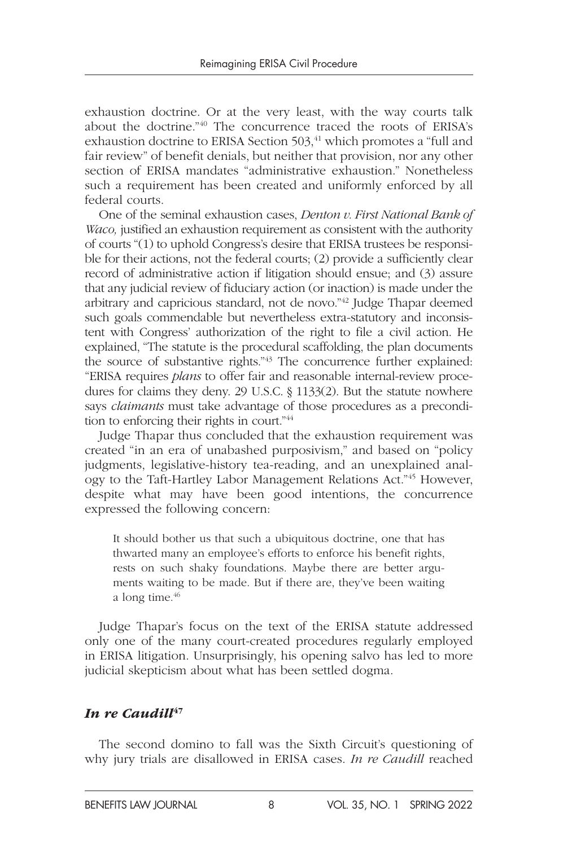exhaustion doctrine. Or at the very least, with the way courts talk about the doctrine."40 The concurrence traced the roots of ERISA's exhaustion doctrine to ERISA Section 503,<sup>41</sup> which promotes a "full and fair review" of benefit denials, but neither that provision, nor any other section of ERISA mandates "administrative exhaustion." Nonetheless such a requirement has been created and uniformly enforced by all federal courts.

One of the seminal exhaustion cases, *Denton v. First National Bank of Waco,* justified an exhaustion requirement as consistent with the authority of courts "(1) to uphold Congress's desire that ERISA trustees be responsible for their actions, not the federal courts; (2) provide a sufficiently clear record of administrative action if litigation should ensue; and (3) assure that any judicial review of fiduciary action (or inaction) is made under the arbitrary and capricious standard, not de novo."42 Judge Thapar deemed such goals commendable but nevertheless extra-statutory and inconsistent with Congress' authorization of the right to file a civil action. He explained, "The statute is the procedural scaffolding, the plan documents the source of substantive rights."43 The concurrence further explained: "ERISA requires *plans* to offer fair and reasonable internal-review procedures for claims they deny. 29 U.S.C. § 1133(2). But the statute nowhere says *claimants* must take advantage of those procedures as a precondition to enforcing their rights in court."44

Judge Thapar thus concluded that the exhaustion requirement was created "in an era of unabashed purposivism," and based on "policy judgments, legislative-history tea-reading, and an unexplained analogy to the Taft-Hartley Labor Management Relations Act."45 However, despite what may have been good intentions, the concurrence expressed the following concern:

It should bother us that such a ubiquitous doctrine, one that has thwarted many an employee's efforts to enforce his benefit rights, rests on such shaky foundations. Maybe there are better arguments waiting to be made. But if there are, they've been waiting a long time.<sup>46</sup>

Judge Thapar's focus on the text of the ERISA statute addressed only one of the many court-created procedures regularly employed in ERISA litigation. Unsurprisingly, his opening salvo has led to more judicial skepticism about what has been settled dogma.

#### In re Caudill<sup>47</sup>

The second domino to fall was the Sixth Circuit's questioning of why jury trials are disallowed in ERISA cases. *In re Caudill* reached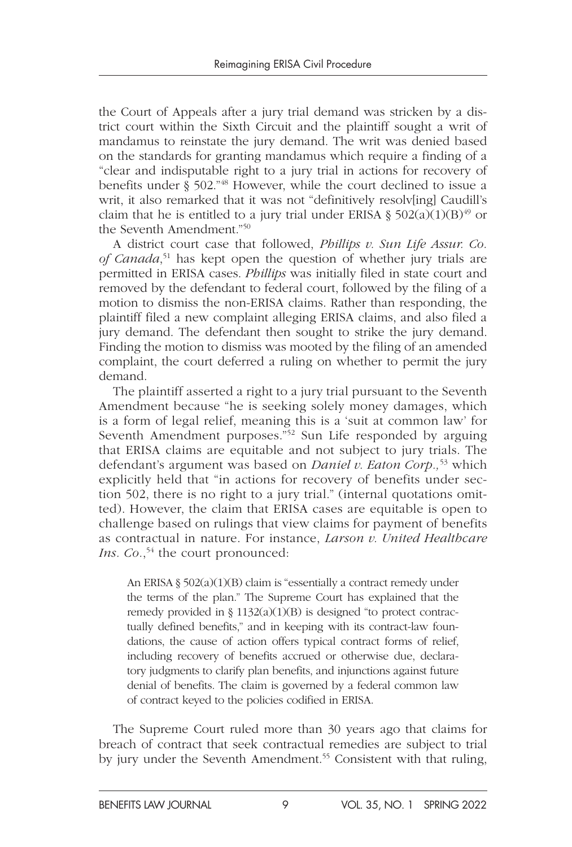the Court of Appeals after a jury trial demand was stricken by a district court within the Sixth Circuit and the plaintiff sought a writ of mandamus to reinstate the jury demand. The writ was denied based on the standards for granting mandamus which require a finding of a "clear and indisputable right to a jury trial in actions for recovery of benefits under § 502."48 However, while the court declined to issue a writ, it also remarked that it was not "definitively resolv[ing] Caudill's claim that he is entitled to a jury trial under ERISA §  $502(a)(1)(B)^{49}$  or the Seventh Amendment."50

A district court case that followed, *Phillips v. Sun Life Assur. Co. of Canada*, 51 has kept open the question of whether jury trials are permitted in ERISA cases. *Phillips* was initially filed in state court and removed by the defendant to federal court, followed by the filing of a motion to dismiss the non-ERISA claims. Rather than responding, the plaintiff filed a new complaint alleging ERISA claims, and also filed a jury demand. The defendant then sought to strike the jury demand. Finding the motion to dismiss was mooted by the filing of an amended complaint, the court deferred a ruling on whether to permit the jury demand.

The plaintiff asserted a right to a jury trial pursuant to the Seventh Amendment because "he is seeking solely money damages, which is a form of legal relief, meaning this is a 'suit at common law' for Seventh Amendment purposes."<sup>52</sup> Sun Life responded by arguing that ERISA claims are equitable and not subject to jury trials. The defendant's argument was based on *Daniel v. Eaton Corp.,*53 which explicitly held that "in actions for recovery of benefits under section 502, there is no right to a jury trial." (internal quotations omitted). However, the claim that ERISA cases are equitable is open to challenge based on rulings that view claims for payment of benefits as contractual in nature. For instance, *Larson v. United Healthcare*  Ins. Co.,<sup>54</sup> the court pronounced:

An ERISA § 502(a)(1)(B) claim is "essentially a contract remedy under the terms of the plan." The Supreme Court has explained that the remedy provided in § 1132(a)(1)(B) is designed "to protect contractually defined benefits," and in keeping with its contract-law foundations, the cause of action offers typical contract forms of relief, including recovery of benefits accrued or otherwise due, declaratory judgments to clarify plan benefits, and injunctions against future denial of benefits. The claim is governed by a federal common law of contract keyed to the policies codified in ERISA.

The Supreme Court ruled more than 30 years ago that claims for breach of contract that seek contractual remedies are subject to trial by jury under the Seventh Amendment.<sup>55</sup> Consistent with that ruling,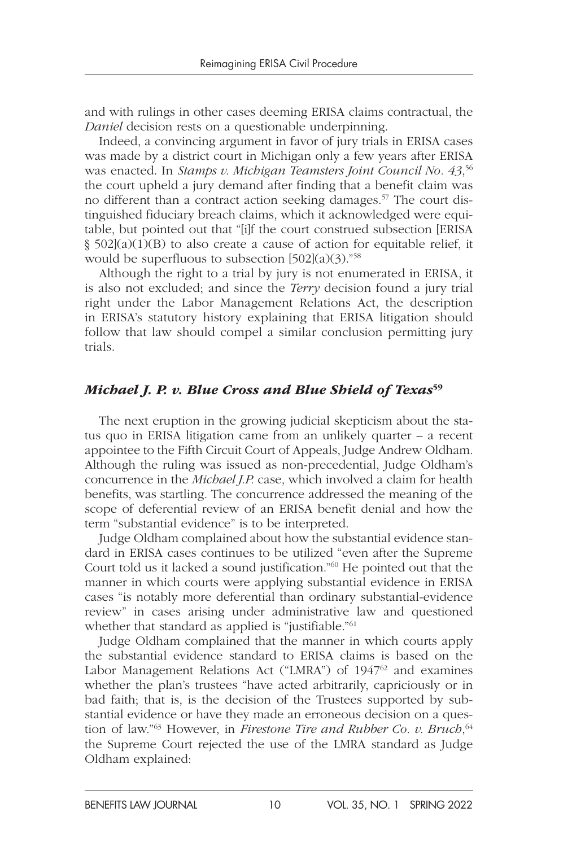and with rulings in other cases deeming ERISA claims contractual, the *Daniel* decision rests on a questionable underpinning.

Indeed, a convincing argument in favor of jury trials in ERISA cases was made by a district court in Michigan only a few years after ERISA was enacted. In *Stamps v. Michigan Teamsters Joint Council No. 43*, 56 the court upheld a jury demand after finding that a benefit claim was no different than a contract action seeking damages.<sup>57</sup> The court distinguished fiduciary breach claims, which it acknowledged were equitable, but pointed out that "[i]f the court construed subsection [ERISA § 502](a)(1)(B) to also create a cause of action for equitable relief, it would be superfluous to subsection  $[502](a)(3)$ ."<sup>58</sup>

Although the right to a trial by jury is not enumerated in ERISA, it is also not excluded; and since the *Terry* decision found a jury trial right under the Labor Management Relations Act, the description in ERISA's statutory history explaining that ERISA litigation should follow that law should compel a similar conclusion permitting jury trials.

#### *Michael J. P. v. Blue Cross and Blue Shield of Texas*<sup>59</sup>

The next eruption in the growing judicial skepticism about the status quo in ERISA litigation came from an unlikely quarter – a recent appointee to the Fifth Circuit Court of Appeals, Judge Andrew Oldham. Although the ruling was issued as non-precedential, Judge Oldham's concurrence in the *Michael J.P.* case, which involved a claim for health benefits, was startling. The concurrence addressed the meaning of the scope of deferential review of an ERISA benefit denial and how the term "substantial evidence" is to be interpreted.

Judge Oldham complained about how the substantial evidence standard in ERISA cases continues to be utilized "even after the Supreme Court told us it lacked a sound justification."60 He pointed out that the manner in which courts were applying substantial evidence in ERISA cases "is notably more deferential than ordinary substantial-evidence review" in cases arising under administrative law and questioned whether that standard as applied is "justifiable."<sup>61</sup>

Judge Oldham complained that the manner in which courts apply the substantial evidence standard to ERISA claims is based on the Labor Management Relations Act ("LMRA") of 1947<sup>62</sup> and examines whether the plan's trustees "have acted arbitrarily, capriciously or in bad faith; that is, is the decision of the Trustees supported by substantial evidence or have they made an erroneous decision on a question of law."63 However, in *Firestone Tire and Rubber Co. v. Bruch*, 64 the Supreme Court rejected the use of the LMRA standard as Judge Oldham explained: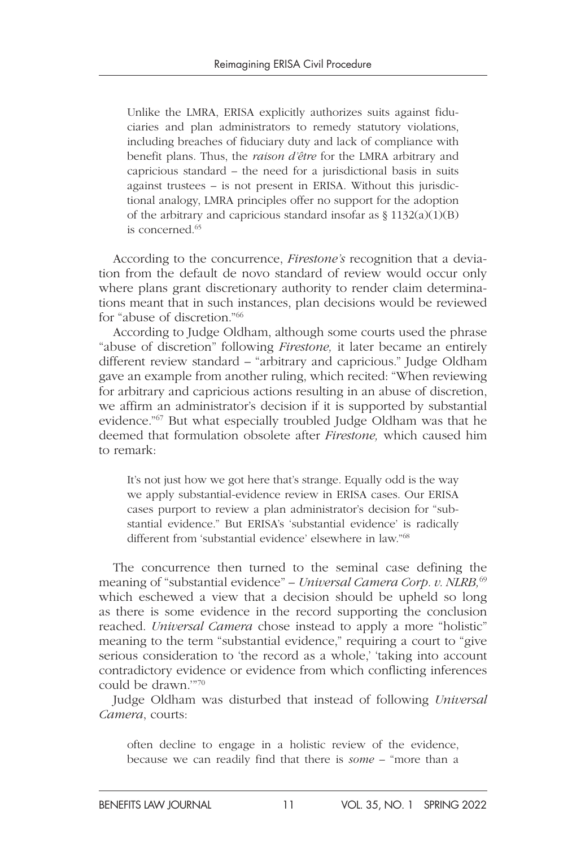Unlike the LMRA, ERISA explicitly authorizes suits against fiduciaries and plan administrators to remedy statutory violations, including breaches of fiduciary duty and lack of compliance with benefit plans. Thus, the *raison d'être* for the LMRA arbitrary and capricious standard – the need for a jurisdictional basis in suits against trustees – is not present in ERISA. Without this jurisdictional analogy, LMRA principles offer no support for the adoption of the arbitrary and capricious standard insofar as  $\S 1132(a)(1)(B)$ is concerned $65$ 

According to the concurrence, *Firestone's* recognition that a deviation from the default de novo standard of review would occur only where plans grant discretionary authority to render claim determinations meant that in such instances, plan decisions would be reviewed for "abuse of discretion."66

According to Judge Oldham, although some courts used the phrase "abuse of discretion" following *Firestone,* it later became an entirely different review standard – "arbitrary and capricious." Judge Oldham gave an example from another ruling, which recited: "When reviewing for arbitrary and capricious actions resulting in an abuse of discretion, we affirm an administrator's decision if it is supported by substantial evidence."67 But what especially troubled Judge Oldham was that he deemed that formulation obsolete after *Firestone,* which caused him to remark:

It's not just how we got here that's strange. Equally odd is the way we apply substantial-evidence review in ERISA cases. Our ERISA cases purport to review a plan administrator's decision for "substantial evidence." But ERISA's 'substantial evidence' is radically different from 'substantial evidence' elsewhere in law."68

The concurrence then turned to the seminal case defining the meaning of "substantial evidence" – *Universal Camera Corp. v. NLRB,*<sup>69</sup> which eschewed a view that a decision should be upheld so long as there is some evidence in the record supporting the conclusion reached. *Universal Camera* chose instead to apply a more "holistic" meaning to the term "substantial evidence," requiring a court to "give serious consideration to 'the record as a whole,' 'taking into account contradictory evidence or evidence from which conflicting inferences could be drawn.'"70

Judge Oldham was disturbed that instead of following *Universal Camera*, courts:

often decline to engage in a holistic review of the evidence, because we can readily find that there is *some* – "more than a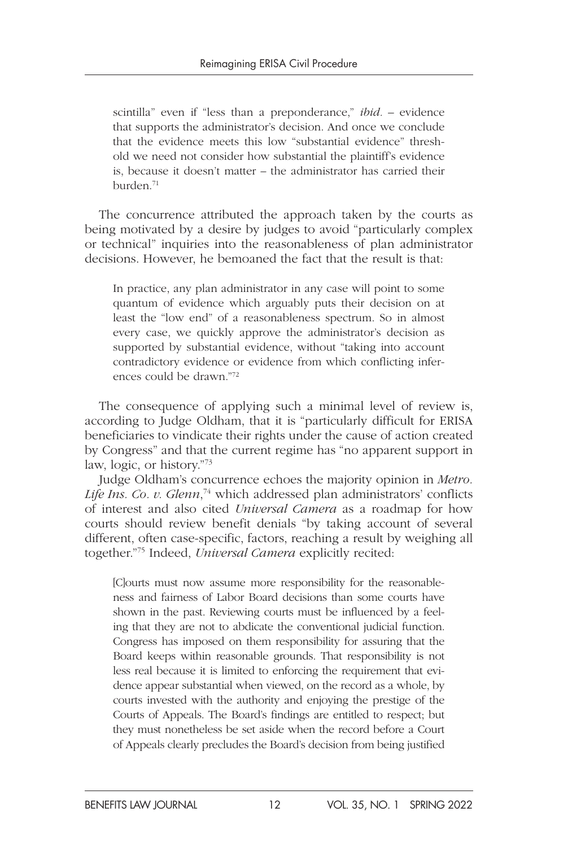scintilla" even if "less than a preponderance," *ibid. –* evidence that supports the administrator's decision. And once we conclude that the evidence meets this low "substantial evidence" threshold we need not consider how substantial the plaintiff's evidence is, because it doesn't matter – the administrator has carried their burden.71

The concurrence attributed the approach taken by the courts as being motivated by a desire by judges to avoid "particularly complex or technical" inquiries into the reasonableness of plan administrator decisions. However, he bemoaned the fact that the result is that:

In practice, any plan administrator in any case will point to some quantum of evidence which arguably puts their decision on at least the "low end" of a reasonableness spectrum. So in almost every case, we quickly approve the administrator's decision as supported by substantial evidence, without "taking into account contradictory evidence or evidence from which conflicting inferences could be drawn<sup>"72</sup>

The consequence of applying such a minimal level of review is, according to Judge Oldham, that it is "particularly difficult for ERISA beneficiaries to vindicate their rights under the cause of action created by Congress" and that the current regime has "no apparent support in law, logic, or history."73

Judge Oldham's concurrence echoes the majority opinion in *Metro.*  Life Ins. Co. v. Glenn,<sup>74</sup> which addressed plan administrators' conflicts of interest and also cited *Universal Camera* as a roadmap for how courts should review benefit denials "by taking account of several different, often case-specific, factors, reaching a result by weighing all together."75 Indeed, *Universal Camera* explicitly recited:

[C]ourts must now assume more responsibility for the reasonableness and fairness of Labor Board decisions than some courts have shown in the past. Reviewing courts must be influenced by a feeling that they are not to abdicate the conventional judicial function. Congress has imposed on them responsibility for assuring that the Board keeps within reasonable grounds. That responsibility is not less real because it is limited to enforcing the requirement that evidence appear substantial when viewed, on the record as a whole, by courts invested with the authority and enjoying the prestige of the Courts of Appeals. The Board's findings are entitled to respect; but they must nonetheless be set aside when the record before a Court of Appeals clearly precludes the Board's decision from being justified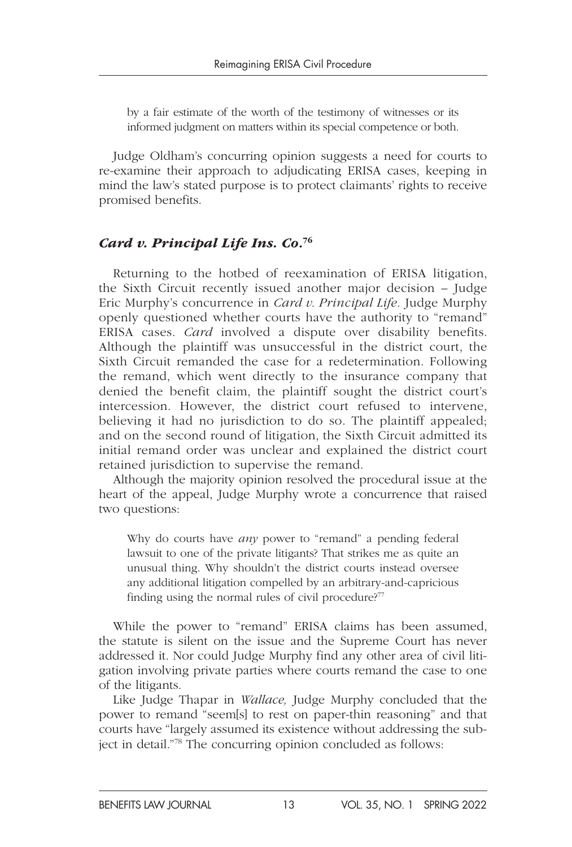by a fair estimate of the worth of the testimony of witnesses or its informed judgment on matters within its special competence or both.

Judge Oldham's concurring opinion suggests a need for courts to re-examine their approach to adjudicating ERISA cases, keeping in mind the law's stated purpose is to protect claimants' rights to receive promised benefits.

#### *Card v. Principal Life Ins. Co*. 76

Returning to the hotbed of reexamination of ERISA litigation, the Sixth Circuit recently issued another major decision – Judge Eric Murphy's concurrence in *Card v. Principal Life.* Judge Murphy openly questioned whether courts have the authority to "remand" ERISA cases. *Card* involved a dispute over disability benefits. Although the plaintiff was unsuccessful in the district court, the Sixth Circuit remanded the case for a redetermination. Following the remand, which went directly to the insurance company that denied the benefit claim, the plaintiff sought the district court's intercession. However, the district court refused to intervene, believing it had no jurisdiction to do so. The plaintiff appealed; and on the second round of litigation, the Sixth Circuit admitted its initial remand order was unclear and explained the district court retained jurisdiction to supervise the remand.

Although the majority opinion resolved the procedural issue at the heart of the appeal, Judge Murphy wrote a concurrence that raised two questions:

Why do courts have *any* power to "remand" a pending federal lawsuit to one of the private litigants? That strikes me as quite an unusual thing. Why shouldn't the district courts instead oversee any additional litigation compelled by an arbitrary-and-capricious finding using the normal rules of civil procedure?<sup>77</sup>

While the power to "remand" ERISA claims has been assumed, the statute is silent on the issue and the Supreme Court has never addressed it. Nor could Judge Murphy find any other area of civil litigation involving private parties where courts remand the case to one of the litigants.

Like Judge Thapar in *Wallace,* Judge Murphy concluded that the power to remand "seem[s] to rest on paper-thin reasoning" and that courts have "largely assumed its existence without addressing the subject in detail."78 The concurring opinion concluded as follows: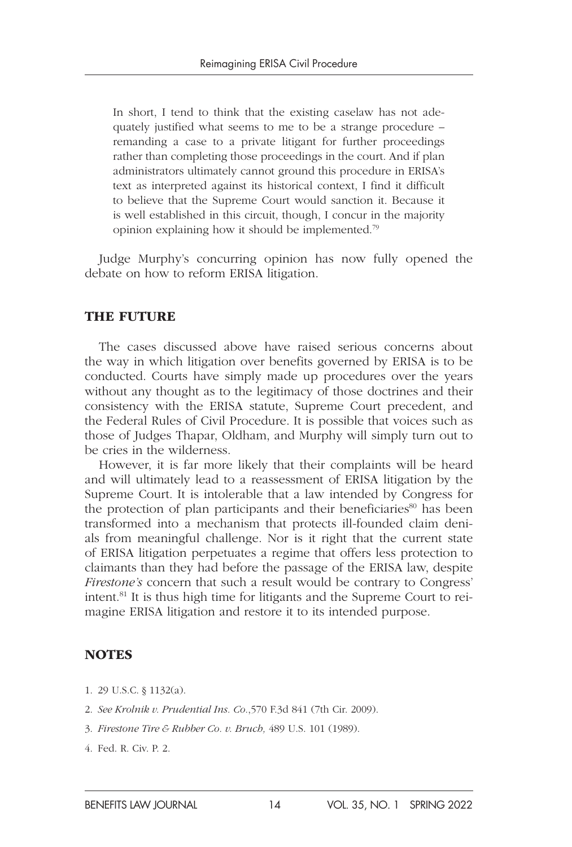In short, I tend to think that the existing caselaw has not adequately justified what seems to me to be a strange procedure – remanding a case to a private litigant for further proceedings rather than completing those proceedings in the court. And if plan administrators ultimately cannot ground this procedure in ERISA's text as interpreted against its historical context, I find it difficult to believe that the Supreme Court would sanction it. Because it is well established in this circuit, though, I concur in the majority opinion explaining how it should be implemented.79

Judge Murphy's concurring opinion has now fully opened the debate on how to reform ERISA litigation.

#### THE FUTURE

The cases discussed above have raised serious concerns about the way in which litigation over benefits governed by ERISA is to be conducted. Courts have simply made up procedures over the years without any thought as to the legitimacy of those doctrines and their consistency with the ERISA statute, Supreme Court precedent, and the Federal Rules of Civil Procedure. It is possible that voices such as those of Judges Thapar, Oldham, and Murphy will simply turn out to be cries in the wilderness.

However, it is far more likely that their complaints will be heard and will ultimately lead to a reassessment of ERISA litigation by the Supreme Court. It is intolerable that a law intended by Congress for the protection of plan participants and their beneficiaries<sup>80</sup> has been transformed into a mechanism that protects ill-founded claim denials from meaningful challenge. Nor is it right that the current state of ERISA litigation perpetuates a regime that offers less protection to claimants than they had before the passage of the ERISA law, despite *Firestone's* concern that such a result would be contrary to Congress' intent.81 It is thus high time for litigants and the Supreme Court to reimagine ERISA litigation and restore it to its intended purpose.

#### **NOTES**

- 1. 29 U.S.C. § 1132(a).
- 2. *See Krolnik v. Prudential Ins. Co.*,570 F.3d 841 (7th Cir. 2009).
- 3. *Firestone Tire & Rubber Co. v. Bruch,* 489 U.S. 101 (1989).
- 4. Fed. R. Civ. P. 2.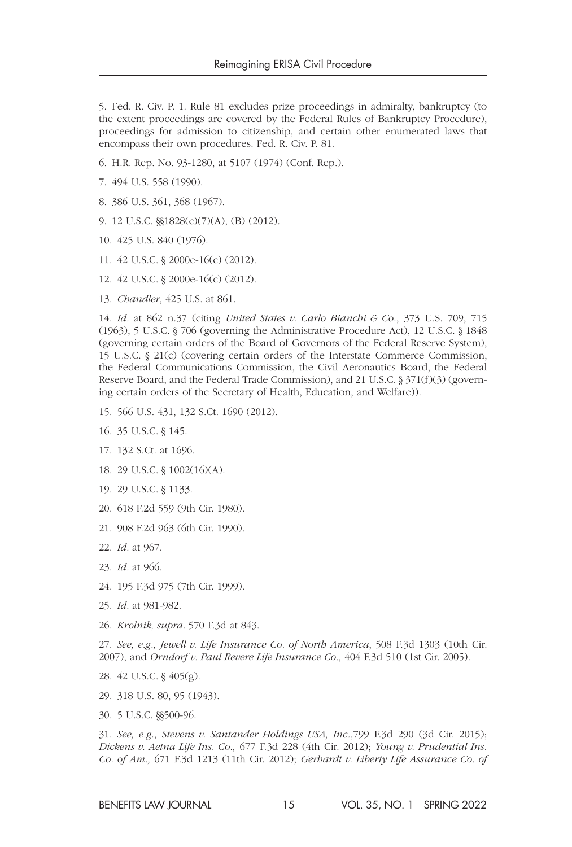5. Fed. R. Civ. P. 1. Rule 81 excludes prize proceedings in admiralty, bankruptcy (to the extent proceedings are covered by the Federal Rules of Bankruptcy Procedure), proceedings for admission to citizenship, and certain other enumerated laws that encompass their own procedures. Fed. R. Civ. P. 81.

- 6. H.R. Rep. No. 93-1280, at 5107 (1974) (Conf. Rep.).
- 7. 494 U.S. 558 (1990).
- 8. 386 U.S. 361, 368 (1967).
- 9. 12 U.S.C. §§1828(c)(7)(A), (B) (2012).
- 10. 425 U.S. 840 (1976).
- 11. 42 U.S.C. § 2000e-16(c) (2012).
- 12. 42 U.S.C. § 2000e-16(c) (2012).
- 13. *Chandler*, 425 U.S. at 861.

14. *Id.* at 862 n.37 (citing *United States v. Carlo Bianchi & Co*., 373 U.S. 709, 715 (1963), 5 U.S.C. § 706 (governing the Administrative Procedure Act), 12 U.S.C. § 1848 (governing certain orders of the Board of Governors of the Federal Reserve System), 15 U.S.C. § 21(c) (covering certain orders of the Interstate Commerce Commission, the Federal Communications Commission, the Civil Aeronautics Board, the Federal Reserve Board, and the Federal Trade Commission), and 21 U.S.C. § 371(f)(3) (governing certain orders of the Secretary of Health, Education, and Welfare)).

- 15. 566 U.S. 431, 132 S.Ct. 1690 (2012).
- 16. 35 U.S.C. § 145.
- 17. 132 S.Ct. at 1696.
- 18. 29 U.S.C. § 1002(16)(A).
- 19. 29 U.S.C. § 1133.
- 20. 618 F.2d 559 (9th Cir. 1980).
- 21. 908 F.2d 963 (6th Cir. 1990).
- 22. *Id.* at 967.
- 23. *Id.* at 966.
- 24. 195 F.3d 975 (7th Cir. 1999).
- 25. *Id.* at 981-982.
- 26. *Krolnik, supra.* 570 F.3d at 843.

27. *See, e.g., Jewell v. Life Insurance Co. of North America*, 508 F.3d 1303 (10th Cir. 2007), and *Orndorf v. Paul Revere Life Insurance Co.,* 404 F.3d 510 (1st Cir. 2005).

- 28. 42 U.S.C. § 405(g).
- 29. 318 U.S. 80, 95 (1943).
- 30. 5 U.S.C. §§500-96.

31. *See, e.g*., *Stevens v. Santander Holdings USA, Inc.*,799 F.3d 290 (3d Cir. 2015); *Dickens v. Aetna Life Ins. Co.,* 677 F.3d 228 (4th Cir. 2012); *Young v. Prudential Ins. Co. of Am.,* 671 F.3d 1213 (11th Cir. 2012); *Gerhardt v. Liberty Life Assurance Co. of*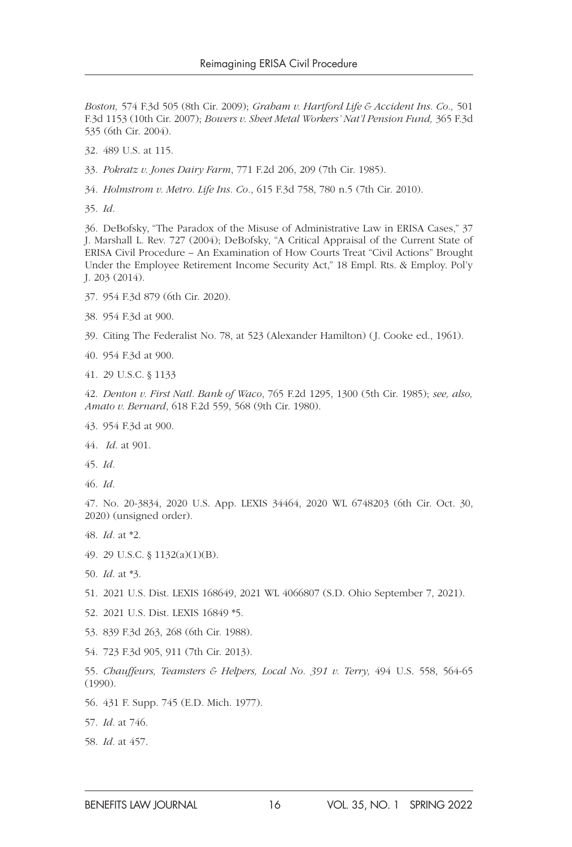*Boston,* 574 F.3d 505 (8th Cir. 2009); *Graham v. Hartford Life & Accident Ins. Co.,* 501 F.3d 1153 (10th Cir. 2007); *Bowers v. Sheet Metal Workers' Nat'l Pension Fund,* 365 F.3d 535 (6th Cir. 2004).

32. 489 U.S. at 115.

33. *Pokratz v. Jones Dairy Farm*, 771 F.2d 206, 209 (7th Cir. 1985).

34. *Holmstrom v. Metro. Life Ins. Co.*, 615 F.3d 758, 780 n.5 (7th Cir. 2010).

35. *Id.*

36. DeBofsky, "The Paradox of the Misuse of Administrative Law in ERISA Cases," 37 J. Marshall L. Rev. 727 (2004); DeBofsky, "A Critical Appraisal of the Current State of ERISA Civil Procedure – An Examination of How Courts Treat "Civil Actions" Brought Under the Employee Retirement Income Security Act," 18 Empl. Rts. & Employ. Pol'y J. 203 (2014).

37. 954 F.3d 879 (6th Cir. 2020).

38. 954 F.3d at 900.

39. Citing The Federalist No. 78, at 523 (Alexander Hamilton) (J. Cooke ed., 1961).

40. 954 F.3d at 900.

41. 29 U.S.C. § 1133

42. *Denton v. First Natl. Bank of Waco*, 765 F.2d 1295, 1300 (5th Cir. 1985); *see, also, Amato v. Bernard*, 618 F.2d 559, 568 (9th Cir. 1980).

43. 954 F.3d at 900.

44. *Id*. at 901.

45. *Id.*

46. *Id.*

47. No. 20-3834, 2020 U.S. App. LEXIS 34464, 2020 WL 6748203 (6th Cir. Oct. 30, 2020) (unsigned order).

48. *Id.* at \*2.

49. 29 U.S.C. § 1132(a)(1)(B).

50. *Id*. at \*3.

51. 2021 U.S. Dist. LEXIS 168649, 2021 WL 4066807 (S.D. Ohio September 7, 2021).

52. 2021 U.S. Dist. LEXIS 16849 \*5.

53. 839 F.3d 263, 268 (6th Cir. 1988).

54. 723 F.3d 905, 911 (7th Cir. 2013).

55. *Chauffeurs, Teamsters & Helpers, Local No. 391 v. Terry,* 494 U.S. 558, 564-65 (1990).

56. 431 F. Supp. 745 (E.D. Mich. 1977).

57. *Id.* at 746.

58. *Id.* at 457.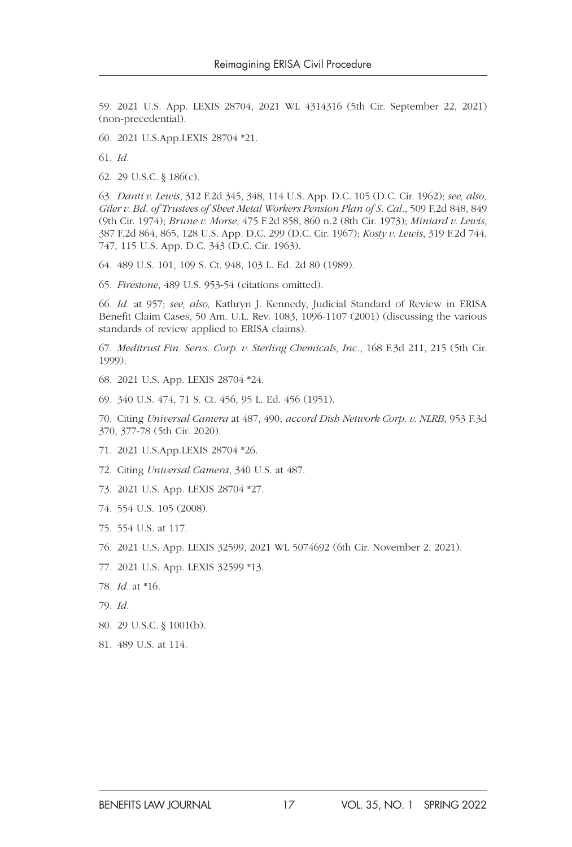59. 2021 U.S. App. LEXIS 28704, 2021 WL 4314316 (5th Cir. September 22, 2021) (non-precedential).

60. 2021 U.S.App.LEXIS 28704 \*21.

61. *Id.*

62. 29 U.S.C. § 186(c).

63. *Danti v. Lewis*, 312 F.2d 345, 348, 114 U.S. App. D.C. 105 (D.C. Cir. 1962); *see, also, Giler v. Bd. of Trustees of Sheet Metal Workers Pension Plan of S. Cal.*, 509 F.2d 848, 849 (9th Cir. 1974); *Brune v. Morse*, 475 F.2d 858, 860 n.2 (8th Cir. 1973); *Miniard v. Lewis*, 387 F.2d 864, 865, 128 U.S. App. D.C. 299 (D.C. Cir. 1967); *Kosty v. Lewis*, 319 F.2d 744, 747, 115 U.S. App. D.C. 343 (D.C. Cir. 1963).

64. 489 U.S. 101, 109 S. Ct. 948, 103 L. Ed. 2d 80 (1989).

65. *Firestone*, 489 U.S. 953-54 (citations omitted).

66. *Id.* at 957; *see, also,* Kathryn J. Kennedy, Judicial Standard of Review in ERISA Benefit Claim Cases, 50 Am. U.L. Rev. 1083, 1096-1107 (2001) (discussing the various standards of review applied to ERISA claims).

67. *Meditrust Fin. Servs. Corp. v. Sterling Chemicals, Inc.*, 168 F.3d 211, 215 (5th Cir. 1999).

68. 2021 U.S. App. LEXIS 28704 \*24.

69. 340 U.S. 474, 71 S. Ct. 456, 95 L. Ed. 456 (1951).

70. Citing *Universal Camera* at 487, 490; *accord Dish Network Corp. v. NLRB*, 953 F.3d 370, 377-78 (5th Cir. 2020).

71. 2021 U.S.App.LEXIS 28704 \*26.

72. Citing *Universal Camera*, 340 U.S. at 487.

73. 2021 U.S. App. LEXIS 28704 \*27.

- 74. 554 U.S. 105 (2008).
- 75. 554 U.S. at 117.

76. 2021 U.S. App. LEXIS 32599, 2021 WL 5074692 (6th Cir. November 2, 2021).

77. 2021 U.S. App. LEXIS 32599 \*13.

78. *Id.* at \*16.

- 79. *Id.*
- 80. 29 U.S.C. § 1001(b).
- 81. 489 U.S. at 114.